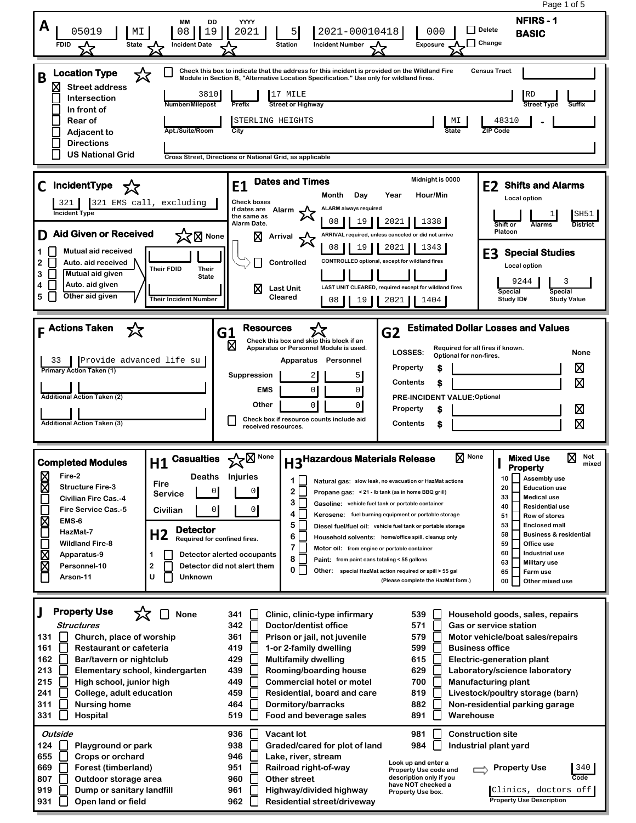Page 1 of 5**NFIRS - 1 MM DD YYYY A** 05019 ||MI ||08||19||2021 || 5||2021-00010418 || 000 || <sup>Delete</sup> **BASIC Delete FDID Incident Date Station Incident Number Exposure Change Check this box to indicate that the address for this incident is provided on the Wildland Fire Location Type** ☆ **Census Tract B Module in Section B, "Alternative Location Specification." Use only for wildland fires. Street address** 3810 | 17 MILE RD **Intersection Number/Milepost Prefix Street or Highway In front of Rear of** STERLING HEIGHTS **MI 48310 - Adjacent to Apt./Suite/Room City State ZIP Code Directions US National Grid Cross Street, Directions or National Grid, as applicable E1 Dates and Times Midnight is 0000**<br>Month Day Year Hour/Min **C IncidentType E2 Shifts and Alarms Month Day Year Hour/Min Local option** 321 321 EMS call, excluding **Check boxes ALARM always required if dates are Alarm Incident Ty**  1 SH51 **the same as**  08 1 19 1 2021 1 1338 **Alarm Date. Shift or Alarms District D Aid Given or Received X**<br>X**D** None **Platoon Arrival ARRIVAL required, unless canceled or did not arrive** 08 19 2021 1343 **1 Mutual aid received E3 Special Studies CONTROLLED optional, except for wildland fires 2 Auto. aid received Controlled Local option Their FDID Their 3 Mutual aid given State** 9244 1 3 **Auto. aid given 4 LAST UNIT CLEARED, required except for wildland fires Last Unit Special Special 5 Other aid given Cleared Their Incident Number Study ID#** 08 | | 19 | | 2021 | | 1404 **Study Value F Actions Taken G2 Estimated Dollar Losses and Values** G1 **Resources**<br>  $\boxtimes$  **Check this box**<br> **Apparatus or P.** Σζ **Check this box and skip this block if an Apparatus or Personnel Module is used. Required for all fires if known. LOSSES: Optional for non-fires. None Apparatus Personnel** Provide advanced life su ⊠ **Property \$ Primary Action Taken (1) Suppression** 2 5 冈 **Contents \$** 0 0 **EMS Additional Action Taken (2) PRE-INCIDENT VALUE:Optional Other** 0 0 **Property** ⊠ **\$ Check box if resource counts include aid Additional Action Taken (3)** 冈 **Contents \$ received resources. H3<sup>Hazardous Materials Release**  $\boxtimes$  None **H** Mixed Use  $\boxtimes$  Not mixed</sup> **H1 Casualties None None Mixed Use I Completed Modules Property Fire-2 Deaths Injuries 10 Assembly use 1 Natural gas: slow leak, no evacuation or HazMat actions Fire** R **Structure Fire-3 20 Education use**  $2\Gamma$  0 0 **Service Propane gas: < 21 - lb tank (as in home BBQ grill) 33 Medical use Civilian Fire Cas.-4**  $3\Box$ **Gasoline: vehicle fuel tank or portable container 40 Residential use Fire Service Cas.-5 Civilian** 0 0 Γ **4 Kerosene: fuel burning equipment or portable storage 51 Row of stores** Σ **EMS-6** Г **5 53 Enclosed mall Diesel fuel/fuel oil: vehicle fuel tank or portable storage Detector HazMat-7 H2 Required for confined fires.** Г **58 Business & residential 6 Household solvents: home/office spill, cleanup only Wildland Fire-8 59 Office use 7 Motor oil: from engine or portable container** ⊠ **60 Industrial use 1 Detector alerted occupants Apparatus-9 8 Paint: from paint cans totaling < 55 gallons 63 Military use** ⊠ **Personnel-10 2 Detector did not alert them 0 65 Farm use Other: special HazMat action required or spill > 55 gal** Π **U Unknown Arson-11 (Please complete the HazMat form.) 00 Other mixed use Property Use J None Clinic, clinic-type infirmary 341 539 Household goods, sales, repairs Structures 342 Doctor/dentist office 571 Gas or service station 131 Church, place of worship 361 Prison or jail, not juvenile 579 Motor vehicle/boat sales/repairs 161 Restaurant or cafeteria 419 1-or 2-family dwelling 599 Business office 162 Bar/tavern or nightclub 429 Multifamily dwelling 615 Electric-generation plant 213 439 629 Elementary school, kindergarten Rooming/boarding house Laboratory/science laboratory 700 215**  $\mathsf{L}$ **High school, junior high 449 Commercial hotel or motel Manufacturing plant 459 241 College, adult education Residential, board and care 819 Livestock/poultry storage (barn) 882 311 Nursing home 464 Dormitory/barracks Non-residential parking garage 331 Hospital 519 Food and beverage sales 891** П **Warehouse Outside 936 Vacant lot 981 Construction site 984 124 Playground or park 938 Graded/cared for plot of land Industrial plant yard 655 946 Lake, river, stream Crops or orchard Look up and enter a 669 Forest (timberland) 951 Railroad right-of-way Property Use** 340 **Property Use code and Code**

**Other street**

**960 961 962**

**Highway/divided highway Residential street/driveway** **description only if you have NOT checked a Property Use box.**

Clinics, doctors off

**Property Use Description**

**Outdoor storage area Dump or sanitary landfill Open land or field**

**807 919 931**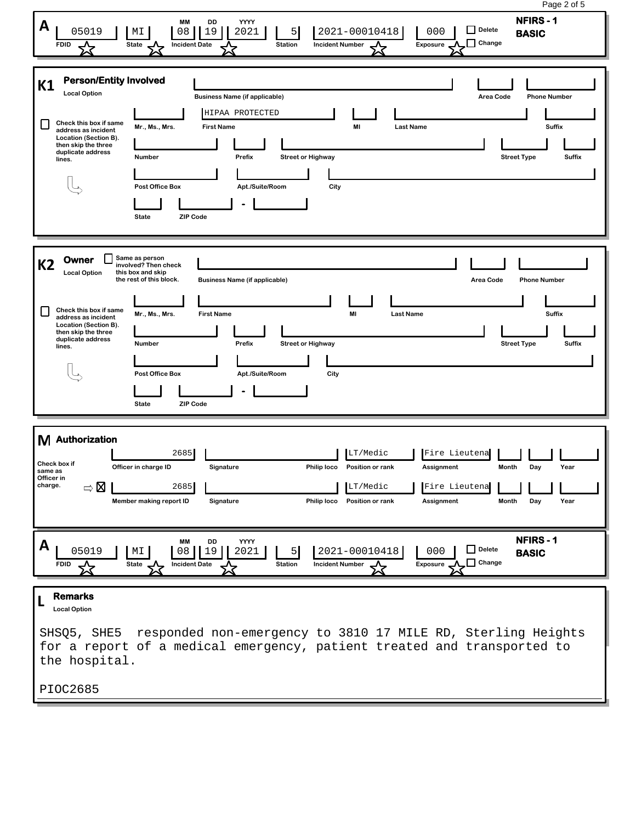| Page 2 of 5<br><b>NFIRS-1</b><br>МM<br>DD<br>YYYY<br>A<br>Delete<br>19<br>5 <sub>l</sub><br>2021-00010418<br>05019<br>MΙ<br>08<br>2021<br>000<br><b>BASIC</b><br>$\Box$ Change<br><b>FDID</b><br><b>Incident Date</b><br><b>Station</b><br><b>Incident Number</b><br>Exposure<br>State                                                                                                                                                                                                                                                                                                                             |
|--------------------------------------------------------------------------------------------------------------------------------------------------------------------------------------------------------------------------------------------------------------------------------------------------------------------------------------------------------------------------------------------------------------------------------------------------------------------------------------------------------------------------------------------------------------------------------------------------------------------|
| <b>Person/Entity Involved</b><br>K1<br><b>Local Option</b><br><b>Business Name (if applicable)</b><br>Area Code<br><b>Phone Number</b><br>HIPAA PROTECTED<br>Check this box if same<br>$\mathsf{L}$<br>Mr., Ms., Mrs.<br><b>First Name</b><br>MI<br><b>Last Name</b><br><b>Suffix</b><br>address as incident<br>Location (Section B).<br>then skip the three<br>duplicate address<br><b>Street or Highway</b><br><b>Street Type</b><br><b>Number</b><br>Prefix<br><b>Suffix</b><br>lines.<br>Apt./Suite/Room<br>Post Office Box<br>City<br><b>State</b><br><b>ZIP Code</b>                                         |
| Same as person<br>Owner<br><b>K2</b><br>involved? Then check<br><b>Local Option</b><br>this box and skip<br>the rest of this block.<br><b>Business Name (if applicable)</b><br>Area Code<br><b>Phone Number</b><br>Check this box if same<br>$\mathsf{L}$<br>Mr., Ms., Mrs.<br><b>First Name</b><br>MI<br><b>Last Name</b><br>Suffix<br>address as incident<br>Location (Section B).<br>then skip the three<br>duplicate address<br>Prefix<br><b>Street or Highway</b><br><b>Street Type</b><br>Suffix<br><b>Number</b><br>lines.<br>Apt./Suite/Room<br>Post Office Box<br>City<br><b>ZIP Code</b><br><b>State</b> |
| M Authorization<br>2685<br>LT/Medic<br>Fire Lieutena<br>Check box if<br>Philip loco Position or rank<br>Officer in charge ID<br>oignature<br>Assignment<br>MONUL<br>same as<br>Officer in<br>charge.<br>$\Rightarrow \boxtimes$<br>2685<br>Fire Lieutena<br>LT/Medic<br>Philip loco<br>Assignment<br>Member making report ID<br>Signature<br>Position or rank<br>Month<br>Day<br>Year                                                                                                                                                                                                                              |
| NFIRS-1<br>DD<br><b>YYYY</b><br>MM<br>A<br>$\Box$ Delete<br>05019<br>2021-00010418<br>000<br>MI<br>08<br>19<br>2021<br>5<br><b>BASIC</b><br>$\Box$ Change<br><b>Station</b><br><b>Incident Number</b><br>Exposure<br><b>FDID</b><br>State<br><b>Incident Date</b>                                                                                                                                                                                                                                                                                                                                                  |
| <b>Remarks</b><br><b>Local Option</b><br>responded non-emergency to 3810 17 MILE RD, Sterling Heights<br>SHSQ5, SHE5<br>for a report of a medical emergency, patient treated and transported to<br>the hospital.<br>PIOC2685                                                                                                                                                                                                                                                                                                                                                                                       |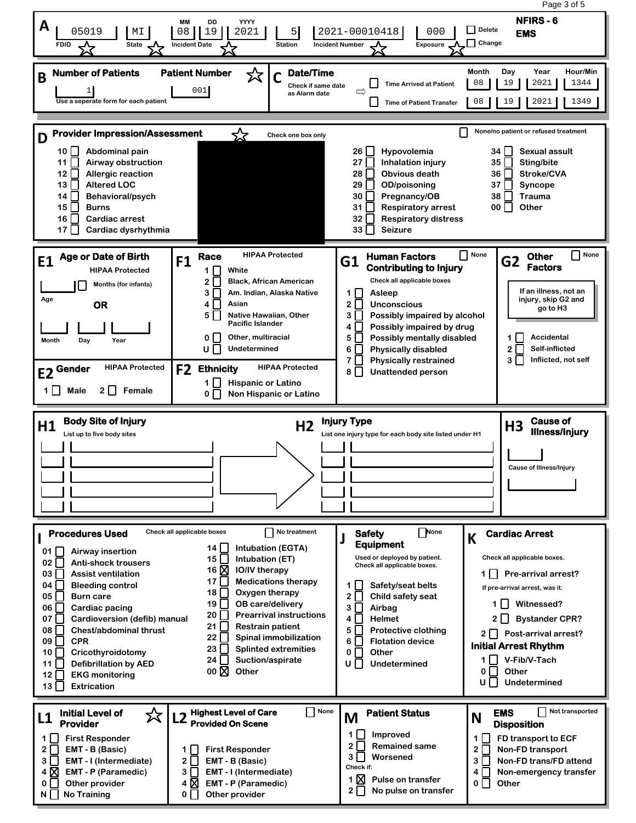|                                                                                                                                                                                                                                                                                                                                                                                                                                                                                        |                                                                                                                                                                                                                                                                                                                                                                                                                                                                                 |                                                                                                                                                                                                                                                                                                                                                                         | Page 3 of 5                                                                                                                                                                                                                                                                                                                 |  |  |  |  |
|----------------------------------------------------------------------------------------------------------------------------------------------------------------------------------------------------------------------------------------------------------------------------------------------------------------------------------------------------------------------------------------------------------------------------------------------------------------------------------------|---------------------------------------------------------------------------------------------------------------------------------------------------------------------------------------------------------------------------------------------------------------------------------------------------------------------------------------------------------------------------------------------------------------------------------------------------------------------------------|-------------------------------------------------------------------------------------------------------------------------------------------------------------------------------------------------------------------------------------------------------------------------------------------------------------------------------------------------------------------------|-----------------------------------------------------------------------------------------------------------------------------------------------------------------------------------------------------------------------------------------------------------------------------------------------------------------------------|--|--|--|--|
| A<br>05019<br>МI<br><b>FDID</b><br><b>State</b><br>╳                                                                                                                                                                                                                                                                                                                                                                                                                                   | <b>MM</b><br>DD<br>YYYY<br>19<br>08<br>2021<br>5 <sup>1</sup><br><b>Station</b><br><b>Incident Date</b>                                                                                                                                                                                                                                                                                                                                                                         | 2021-00010418<br>000<br><b>Incident Number</b><br>Exposure                                                                                                                                                                                                                                                                                                              | <b>NFIRS-6</b><br>Delete<br><b>EMS</b><br>$\Box$ Change                                                                                                                                                                                                                                                                     |  |  |  |  |
| <b>Number of Patients</b><br>B<br>Use a seperate form for each patient                                                                                                                                                                                                                                                                                                                                                                                                                 | <b>Patient Number</b><br><b>Date/Time</b><br>公<br>Check if same date<br>001<br>as Alarm date                                                                                                                                                                                                                                                                                                                                                                                    | <b>Time Arrived at Patient</b><br>$\Rightarrow$<br><b>Time of Patient Transfer</b>                                                                                                                                                                                                                                                                                      | <b>Month</b><br>Day<br>Year<br>Hour/Min<br>08<br>19<br>2021<br>1344<br>19<br>2021<br>1349<br>08                                                                                                                                                                                                                             |  |  |  |  |
| <b>Provider Impression/Assessment</b><br>D<br>10    <br>Abdominal pain<br>11<br>Airway obstruction<br>$12$   <br><b>Allergic reaction</b><br><b>Altered LOC</b><br>13 I I<br>14<br>Behavioral/psych<br>15    <br><b>Burns</b><br>Cardiac arrest<br>16   I<br>17 I I<br>Cardiac dysrhythmia                                                                                                                                                                                             | <u>হ'ব</u><br>Check one box only                                                                                                                                                                                                                                                                                                                                                                                                                                                | 26    <br>Hypovolemia<br>27<br><b>Inhalation injury</b><br><b>Obvious death</b><br>28    <br><b>OD/poisoning</b><br>29 I I<br>30 I I<br>Pregnancy/OB<br>31    <br><b>Respiratory arrest</b><br>32<br><b>Respiratory distress</b><br><b>Seizure</b><br>33 I I                                                                                                            | None/no patient or refused treatment<br><b>Sexual assult</b><br>34 I I<br>35<br>Sting/bite<br>36 I I<br>Stroke/CVA<br>37<br>Syncope<br>38<br>Trauma<br>Other<br>00 l                                                                                                                                                        |  |  |  |  |
| <b>Age or Date of Birth</b><br>E1<br><b>HIPAA Protected</b><br>Months (for infants)<br>Age<br><b>OR</b><br>Month<br>Day<br>Year<br><b>HIPAA Protected</b><br>E2 Gender<br>2 □<br>1∐<br>Male<br>Female                                                                                                                                                                                                                                                                                  | <b>HIPAA Protected</b><br>Race<br>F1<br>White<br>$1 \mid$<br>2 I<br><b>Black, African American</b><br>3 I<br>Am. Indian, Alaska Native<br>Asian<br>4 I I<br>Native Hawaiian, Other<br>5 I I<br><b>Pacific Islander</b><br>0 <sup>1</sup><br>Other, multiracial<br>U I<br><b>Undetermined</b><br><b>HIPAA Protected</b><br><b>Ethnicity</b><br>F <sub>2</sub><br>1 I I<br><b>Hispanic or Latino</b><br>Non Hispanic or Latino<br>$0 \mid \cdot \mid$                             | <b>Human Factors</b><br>G1<br><b>Contributing to Injury</b><br>Check all applicable boxes<br>1 I I<br>Asleep<br>2 I I<br><b>Unconscious</b><br>3 I -<br>Possibly impaired by alcohol<br>Possibly impaired by drug<br>4<br>Possibly mentally disabled<br>5.<br>6<br><b>Physically disabled</b><br>7<br><b>Physically restrained</b><br><b>Unattended person</b><br>8 I I | None<br>None<br>П<br><b>Other</b><br>G <sub>2</sub><br><b>Factors</b><br>If an illness, not an<br>injury, skip G2 and<br>go to H <sub>3</sub><br>Accidental<br>1    <br>Self-inflicted<br>$2\Box$<br>Inflicted, not self<br>$3$ $\Box$                                                                                      |  |  |  |  |
| <b>Body Site of Injury</b><br><b>Cause of</b><br><b>Injury Type</b><br>H1<br>H <sub>2</sub><br>H <sub>3</sub><br><b>Illness/Injury</b><br>List up to five body sites<br>List one injury type for each body site listed under H1<br>Cause or liiness/injury                                                                                                                                                                                                                             |                                                                                                                                                                                                                                                                                                                                                                                                                                                                                 |                                                                                                                                                                                                                                                                                                                                                                         |                                                                                                                                                                                                                                                                                                                             |  |  |  |  |
|                                                                                                                                                                                                                                                                                                                                                                                                                                                                                        |                                                                                                                                                                                                                                                                                                                                                                                                                                                                                 |                                                                                                                                                                                                                                                                                                                                                                         |                                                                                                                                                                                                                                                                                                                             |  |  |  |  |
| <b>Procedures Used</b><br>01 I I<br><b>Airway insertion</b><br>02<br><b>Anti-shock trousers</b><br>03<br><b>Assist ventilation</b><br>04 I I<br><b>Bleeding control</b><br><b>Burn care</b><br>05    <br>06    <br><b>Cardiac pacing</b><br>Cardioversion (defib) manual<br>07    <br>08<br>Chest/abdominal thrust<br>$09$   <br><b>CPR</b><br>Cricothyroidotomy<br>10   I<br><b>Defibrillation by AED</b><br>$11$   <br>12<br><b>EKG monitoring</b><br>$13\mid$<br><b>Extrication</b> | No treatment<br>Check all applicable boxes<br>14 I I<br><b>Intubation (EGTA)</b><br>15 $\Box$<br>Intubation (ET)<br>16 <b>X</b><br><b>IO/IV therapy</b><br>17 $\Box$<br><b>Medications therapy</b><br>18<br>Oxygen therapy<br>19    <br><b>OB</b> care/delivery<br><b>Prearrival instructions</b><br>20<br>21 L<br><b>Restrain patient</b><br>22 $\Box$<br>Spinal immobilization<br>23<br><b>Splinted extremities</b><br>Suction/aspirate<br>24 I I<br>00 <sub>N</sub><br>Other | None<br><b>Safety</b><br><b>Equipment</b><br>Used or deployed by patient.<br>Check all applicable boxes.<br>Safety/seat belts<br>1 I I<br>Child safety seat<br>2<br>3<br>Airbag<br><b>Helmet</b><br>4<br>5<br><b>Protective clothing</b><br>6<br><b>Flotation device</b><br>H<br>Other<br>0<br>$\mathsf{L}$<br><b>Undetermined</b><br>U                                 | <b>Cardiac Arrest</b><br>K<br>Check all applicable boxes.<br>1 Pre-arrival arrest?<br>If pre-arrival arrest, was it:<br>1   I<br>Witnessed?<br><b>Bystander CPR?</b><br>2 I I<br>2 Post-arrival arrest?<br><b>Initial Arrest Rhythm</b><br>V-Fib/V-Tach<br>1 I I<br>$\circ$ $\Box$<br>Other<br><b>Undetermined</b><br>U I I |  |  |  |  |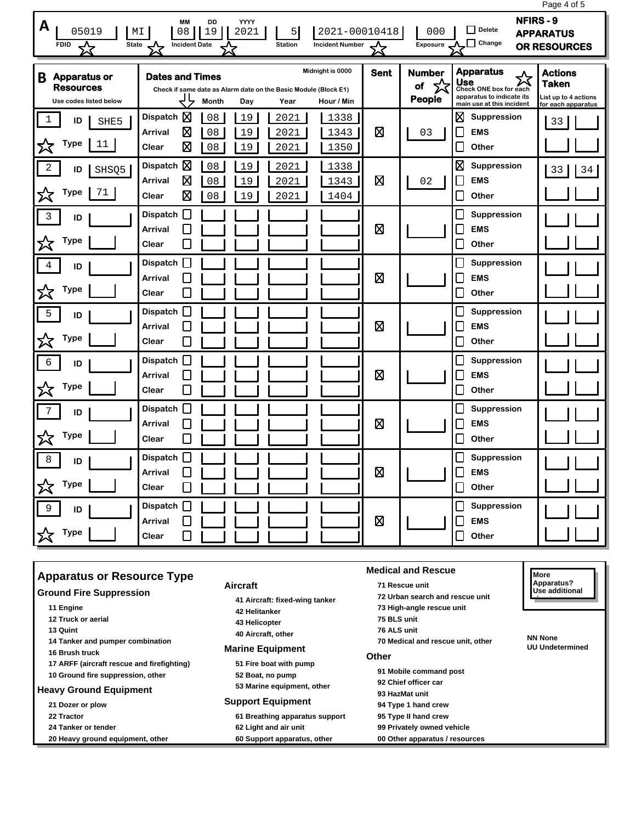|                                                                        |                                                                                                                   |                                               |                                    |                                                                                                                         | Page 4 of 5                                                                  |
|------------------------------------------------------------------------|-------------------------------------------------------------------------------------------------------------------|-----------------------------------------------|------------------------------------|-------------------------------------------------------------------------------------------------------------------------|------------------------------------------------------------------------------|
| A<br>05019<br><b>FDID</b><br>State<br>☆                                | <b>MM</b><br>DD<br>YYYY<br>08<br>19<br>2021<br>MΙ<br>5<br><b>Incident Date</b><br><b>Station</b>                  | 2021-00010418<br><b>Incident Number</b><br>⅍  | 000<br><b>Exposure</b>             | <b>NFIRS-9</b><br>$\Box$ Delete<br>$\Box$ Change                                                                        | <b>APPARATUS</b><br>OR RESOURCES                                             |
| <b>Apparatus or</b><br>B<br><b>Resources</b><br>Use codes listed below | <b>Dates and Times</b><br>Check if same date as Alarm date on the Basic Module (Block E1)<br>Month<br>Day<br>Year | Midnight is 0000<br><b>Sent</b><br>Hour / Min | <b>Number</b><br>☆<br>of<br>People | <b>Apparatus</b><br>公<br><b>Use</b><br>Check ONE box for each<br>apparatus to indicate its<br>main use at this incident | <b>Actions</b><br><b>Taken</b><br>List up to 4 actions<br>for each apparatus |
| $\mathbf 1$<br>ID<br>SHE5<br><b>Type</b><br>父<br>11                    | Dispatch $\boxtimes$<br>08<br>19<br>2021<br>⊠<br>08<br>19<br>Arrival<br>2021<br>囟<br>Clear<br>08<br>19<br>2021    | 1338<br>⊠<br>1343<br>1350                     | 03                                 | ⊠<br>Suppression<br><b>EMS</b><br>$\mathbb{R}$<br>L<br>Other                                                            | 33                                                                           |
| $\overline{2}$<br>ID<br>SHSQ5<br>Type<br>71<br>☆                       | 図<br>08<br><b>Dispatch</b><br>19<br>2021<br>図<br>Arrival<br>08<br>19<br>2021<br>図<br>19<br>2021<br>Clear<br>08    | 1338<br>⊠<br>1343<br>1404                     | 02                                 | ⊠<br>Suppression<br><b>EMS</b><br>$\mathbb{R}$<br>Other                                                                 | 33<br>34                                                                     |
| $\mathbf{3}$<br>ID<br><b>Type</b><br>又                                 | $\Box$<br><b>Dispatch</b><br><b>Arrival</b><br>Clear                                                              | ⊠                                             |                                    | Suppression<br>L<br><b>EMS</b><br>L<br>Other                                                                            |                                                                              |
| 4<br>ID<br><b>Type</b><br>☆                                            | <b>Dispatch</b><br>Arrival<br>Clear                                                                               | ⊠                                             |                                    | Suppression<br>$\mathbf{r}$<br><b>EMS</b><br>Other<br>L                                                                 |                                                                              |
| 5<br>ID<br><b>Type</b><br>╳                                            | <b>Dispatch</b><br>Arrival<br>Clear                                                                               | ⊠                                             |                                    | Suppression<br><b>EMS</b><br>Other                                                                                      |                                                                              |
| $\epsilon$<br>ID<br><b>Type</b><br>公                                   | <b>Dispatch</b><br><b>Arrival</b><br>Clear                                                                        | ⊠                                             |                                    | L<br>Suppression<br><b>EMS</b><br>Other                                                                                 |                                                                              |
| 7<br>ID<br><b>Type</b><br>☆                                            | <b>Dispatch</b><br>Arrival<br>Clear                                                                               | 図                                             |                                    | Suppression<br>L<br><b>EMS</b><br>Other<br>L                                                                            |                                                                              |
| 8<br>ID<br><b>Type</b>                                                 | <b>Dispatch</b><br>Arrival<br>Clear                                                                               | ⊠                                             |                                    | Suppression<br>$\mathbf{r}$<br><b>EMS</b><br>$\mathbb{R}$<br>Other                                                      |                                                                              |
| 9<br>ID<br><b>Type</b><br>欢                                            | Dispatch    <br>Arrival<br>Clear                                                                                  | ⊠                                             |                                    | Suppression<br>L<br><b>EMS</b><br>Other                                                                                 |                                                                              |

| <b>Apparatus or Resource Type</b>                                                                 |                                                                                 | l More                                                                                                |                                          |
|---------------------------------------------------------------------------------------------------|---------------------------------------------------------------------------------|-------------------------------------------------------------------------------------------------------|------------------------------------------|
| <b>Ground Fire Suppression</b>                                                                    | Aircraft                                                                        | 71 Rescue unit                                                                                        | Apparatus?                               |
|                                                                                                   | 41 Aircraft: fixed-wing tanker                                                  | 72 Urban search and rescue unit                                                                       | Use additional                           |
| 11 Engine<br>12 Truck or aerial<br>13 Quint<br>14 Tanker and pumper combination<br>16 Brush truck | 42 Helitanker<br>43 Helicopter<br>40 Aircraft, other<br><b>Marine Equipment</b> | 73 High-angle rescue unit<br>75 BLS unit<br>76 ALS unit<br>70 Medical and rescue unit, other<br>Other | <b>NN None</b><br><b>UU Undetermined</b> |
| 17 ARFF (aircraft rescue and firefighting)                                                        | 51 Fire boat with pump                                                          | 91 Mobile command post                                                                                |                                          |
| 10 Ground fire suppression, other                                                                 | 52 Boat, no pump                                                                | 92 Chief officer car                                                                                  |                                          |
| <b>Heavy Ground Equipment</b>                                                                     | 53 Marine equipment, other                                                      | 93 HazMat unit                                                                                        |                                          |
| 21 Dozer or plow                                                                                  | <b>Support Equipment</b>                                                        | 94 Type 1 hand crew                                                                                   |                                          |
| 22 Tractor                                                                                        | 61 Breathing apparatus support                                                  | 95 Type II hand crew                                                                                  |                                          |
| 24 Tanker or tender                                                                               | 62 Light and air unit                                                           | 99 Privately owned vehicle                                                                            |                                          |
| 20 Heavy ground equipment, other                                                                  | 60 Support apparatus, other                                                     | 00 Other apparatus / resources                                                                        |                                          |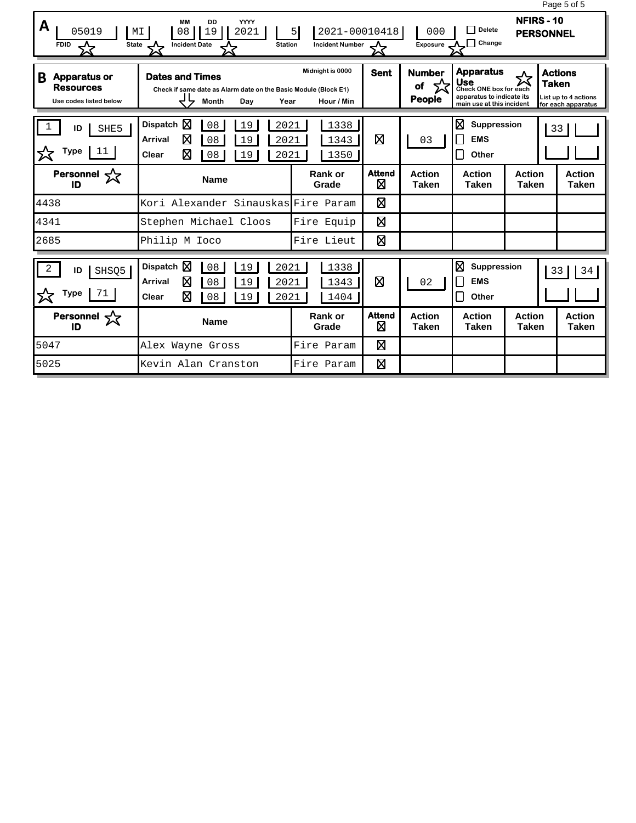|                                                                                   |                                                                                                                          |                                                           |                    |                                      |                                                                                                             |                               | Page 5 of 5                                                  |
|-----------------------------------------------------------------------------------|--------------------------------------------------------------------------------------------------------------------------|-----------------------------------------------------------|--------------------|--------------------------------------|-------------------------------------------------------------------------------------------------------------|-------------------------------|--------------------------------------------------------------|
| A<br>05019<br><b>FDID</b><br>State                                                | <b>YYYY</b><br><b>MM</b><br>DD<br>19<br>08<br>2021<br>МI<br><b>Incident Date</b><br><b>Station</b><br>◡                  | 2021-00010418<br>5 <sup>1</sup><br><b>Incident Number</b> |                    | 000<br>Exposure                      | $\Box$ Delete<br>$\Box$ Change                                                                              | NFIRS-10<br><b>PERSONNEL</b>  |                                                              |
| <sub>B</sub><br><b>Apparatus or</b><br><b>Resources</b><br>Use codes listed below | <b>Dates and Times</b><br>Check if same date as Alarm date on the Basic Module (Block E1)<br><b>Month</b><br>Dav<br>Year | Midnight is 0000<br>Hour / Min                            | <b>Sent</b>        | <b>Number</b><br>of<br><b>People</b> | <b>Apparatus</b><br>Use<br>Check ONE box for each<br>apparatus to indicate its<br>main use at this incident | <b>Taken</b>                  | <b>Actions</b><br>List up to 4 actions<br>for each apparatus |
| ID<br>SHE5<br>Type<br>11                                                          | Dispatch $\nabla$<br>08<br>19<br>2021<br>⊠<br><b>Arrival</b><br>08<br>19<br>2021<br>⊠<br>Clear<br>08<br>19<br>2021       | 1338<br>1343<br>1350                                      | 冈                  | 03                                   | ⊠<br>Suppression<br>П<br><b>EMS</b><br>Π<br>Other                                                           |                               | 33                                                           |
| Personnel $\sqrt{\phantom{a}}$<br>ID                                              | <b>Name</b>                                                                                                              | Rank or<br>Grade                                          | <b>Attend</b><br>⊠ | <b>Action</b><br><b>Taken</b>        | <b>Action</b><br><b>Taken</b>                                                                               | <b>Action</b><br><b>Taken</b> | <b>Action</b><br><b>Taken</b>                                |
| 4438                                                                              | Kori Alexander Sinauskas Fire Param                                                                                      |                                                           | ⊠                  |                                      |                                                                                                             |                               |                                                              |
| 4341                                                                              | Stephen Michael Cloos                                                                                                    | Fire Equip                                                | 図                  |                                      |                                                                                                             |                               |                                                              |
| 2685                                                                              | Philip M Ioco                                                                                                            | Fire Lieut                                                | 図                  |                                      |                                                                                                             |                               |                                                              |
| 2<br>ID<br>SHSQ5<br><b>Type</b><br>71                                             | Dispatch $\boxtimes$<br>08<br>2021<br>19<br>⊠<br><b>Arrival</b><br>08<br>19<br>2021<br>⊠<br>Clear<br>08<br>2021<br>19    | 1338<br>1343<br>1404                                      | Ø                  | 02                                   | ⊠<br>Suppression<br>П<br><b>EMS</b><br>П<br>Other                                                           |                               | 33<br>34                                                     |
| Personnel $\sqrt{\zeta}$<br>ID                                                    | <b>Name</b>                                                                                                              | Rank or<br>Grade                                          | <b>Attend</b><br>⊠ | <b>Action</b><br><b>Taken</b>        | <b>Action</b><br><b>Taken</b>                                                                               | <b>Action</b><br><b>Taken</b> | <b>Action</b><br><b>Taken</b>                                |
| 5047                                                                              | Alex Wayne Gross                                                                                                         | Fire Param                                                | ⊠                  |                                      |                                                                                                             |                               |                                                              |
| 5025                                                                              | Kevin Alan Cranston                                                                                                      | Fire Param                                                | 図                  |                                      |                                                                                                             |                               |                                                              |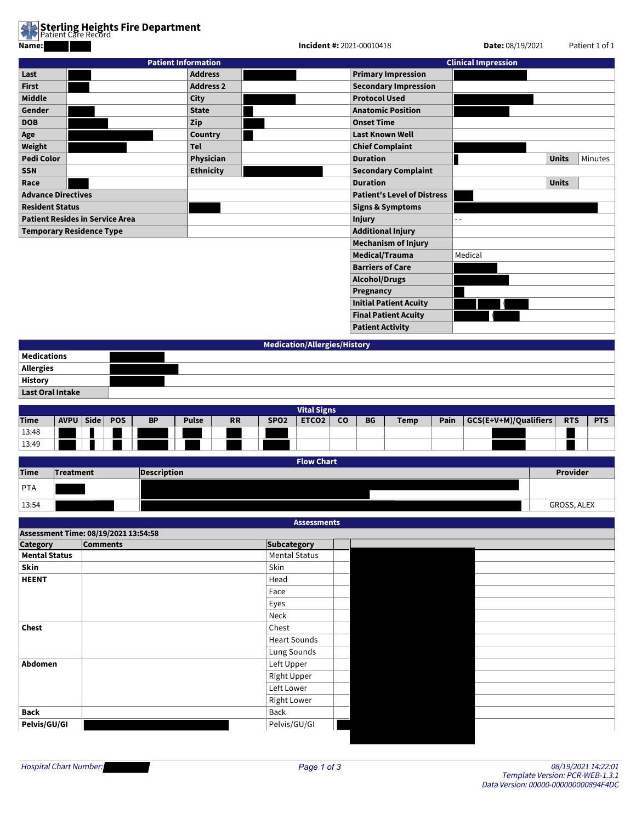

| Name:                     |                                        |                            | Incident #: 2021-00010418 | Date: 08/19/2021                   | Patient 1 of 1             |                         |
|---------------------------|----------------------------------------|----------------------------|---------------------------|------------------------------------|----------------------------|-------------------------|
|                           |                                        | <b>Patient Information</b> |                           |                                    | <b>Clinical Impression</b> |                         |
| Last                      |                                        | <b>Address</b>             |                           | <b>Primary Impression</b>          |                            |                         |
| <b>First</b>              |                                        | <b>Address 2</b>           |                           | <b>Secondary Impression</b>        |                            |                         |
| <b>Middle</b>             |                                        | <b>City</b>                |                           | <b>Protocol Used</b>               |                            |                         |
| Gender                    |                                        | <b>State</b>               |                           | <b>Anatomic Position</b>           |                            |                         |
| <b>DOB</b>                |                                        | Zip                        |                           | <b>Onset Time</b>                  |                            |                         |
| Age                       |                                        | Country                    |                           | <b>Last Known Well</b>             |                            |                         |
| Weight                    |                                        | Tel                        |                           | <b>Chief Complaint</b>             |                            |                         |
| <b>Pedi Color</b>         |                                        | Physician                  |                           | <b>Duration</b>                    |                            | <b>Units</b><br>Minutes |
| <b>SSN</b>                |                                        | <b>Ethnicity</b>           |                           | <b>Secondary Complaint</b>         |                            |                         |
| Race                      |                                        |                            |                           | <b>Duration</b>                    |                            | <b>Units</b>            |
| <b>Advance Directives</b> |                                        |                            |                           | <b>Patient's Level of Distress</b> |                            |                         |
| <b>Resident Status</b>    |                                        |                            |                           | <b>Signs &amp; Symptoms</b>        |                            |                         |
|                           | <b>Patient Resides in Service Area</b> |                            |                           | <b>Injury</b>                      |                            |                         |
|                           | <b>Temporary Residence Type</b>        |                            |                           | <b>Additional Injury</b>           |                            |                         |
|                           |                                        |                            |                           | <b>Mechanism of Injury</b>         |                            |                         |
|                           |                                        |                            |                           | Medical/Trauma                     | Medical                    |                         |
|                           |                                        |                            |                           | <b>Barriers of Care</b>            |                            |                         |
|                           |                                        |                            |                           | <b>Alcohol/Drugs</b>               |                            |                         |
|                           |                                        |                            |                           | Pregnancy                          |                            |                         |
|                           |                                        |                            |                           | <b>Initial Patient Acuity</b>      |                            |                         |
|                           |                                        |                            |                           | <b>Final Patient Acuity</b>        |                            |                         |
|                           |                                        |                            |                           | <b>Patient Activity</b>            |                            |                         |

|                                          | Medication/Allergies/History |
|------------------------------------------|------------------------------|
| Medications                              |                              |
|                                          |                              |
| Allergies<br>History<br>Last Oral Intake |                              |
|                                          |                              |
|                                          |                              |

|             | <b>Vital Signs</b> |  |            |           |              |           |                  |                   |           |           |             |      |                       |            |            |
|-------------|--------------------|--|------------|-----------|--------------|-----------|------------------|-------------------|-----------|-----------|-------------|------|-----------------------|------------|------------|
| <b>Time</b> | AVPU   Side        |  | <b>POS</b> | <b>BP</b> | <b>Pulse</b> | <b>RR</b> | SPO <sub>2</sub> | ETCO <sub>2</sub> | <b>CO</b> | <b>BG</b> | <b>Temp</b> | Pain | GCS(E+V+M)/Qualifiers | <b>RTS</b> | <b>PTS</b> |
| 13:48       |                    |  |            |           |              |           |                  |                   |           |           |             |      |                       |            |            |
| 13:49       |                    |  |            |           |              |           |                  |                   |           |           |             |      |                       |            |            |
|             |                    |  |            |           |              |           |                  |                   |           |           |             |      |                       |            |            |

|             | <b>Flow Chart</b> |                    |             |  |  |  |  |  |  |
|-------------|-------------------|--------------------|-------------|--|--|--|--|--|--|
| <b>Time</b> | Treatment         | <b>Description</b> | Provider    |  |  |  |  |  |  |
| PTA         |                   |                    |             |  |  |  |  |  |  |
|             |                   |                    |             |  |  |  |  |  |  |
| 13:54       |                   |                    | GROSS, ALEX |  |  |  |  |  |  |

| <b>Assessments</b>   |                                      |                      |  |  |  |  |  |  |  |  |
|----------------------|--------------------------------------|----------------------|--|--|--|--|--|--|--|--|
|                      | Assessment Time: 08/19/2021 13:54:58 |                      |  |  |  |  |  |  |  |  |
| <b>Category</b>      | <b>Comments</b>                      | <b>Subcategory</b>   |  |  |  |  |  |  |  |  |
| <b>Mental Status</b> |                                      | <b>Mental Status</b> |  |  |  |  |  |  |  |  |
| Skin                 |                                      | Skin                 |  |  |  |  |  |  |  |  |
| <b>HEENT</b>         |                                      | Head                 |  |  |  |  |  |  |  |  |
|                      |                                      | Face                 |  |  |  |  |  |  |  |  |
|                      |                                      | Eyes                 |  |  |  |  |  |  |  |  |
|                      |                                      | Neck                 |  |  |  |  |  |  |  |  |
| <b>Chest</b>         |                                      | Chest                |  |  |  |  |  |  |  |  |
|                      |                                      | <b>Heart Sounds</b>  |  |  |  |  |  |  |  |  |
|                      |                                      | Lung Sounds          |  |  |  |  |  |  |  |  |
| Abdomen              |                                      | Left Upper           |  |  |  |  |  |  |  |  |
|                      |                                      | Right Upper          |  |  |  |  |  |  |  |  |
|                      |                                      | Left Lower           |  |  |  |  |  |  |  |  |
|                      |                                      | <b>Right Lower</b>   |  |  |  |  |  |  |  |  |
| Back                 |                                      | Back                 |  |  |  |  |  |  |  |  |
| Pelvis/GU/GI         |                                      | Pelvis/GU/GI         |  |  |  |  |  |  |  |  |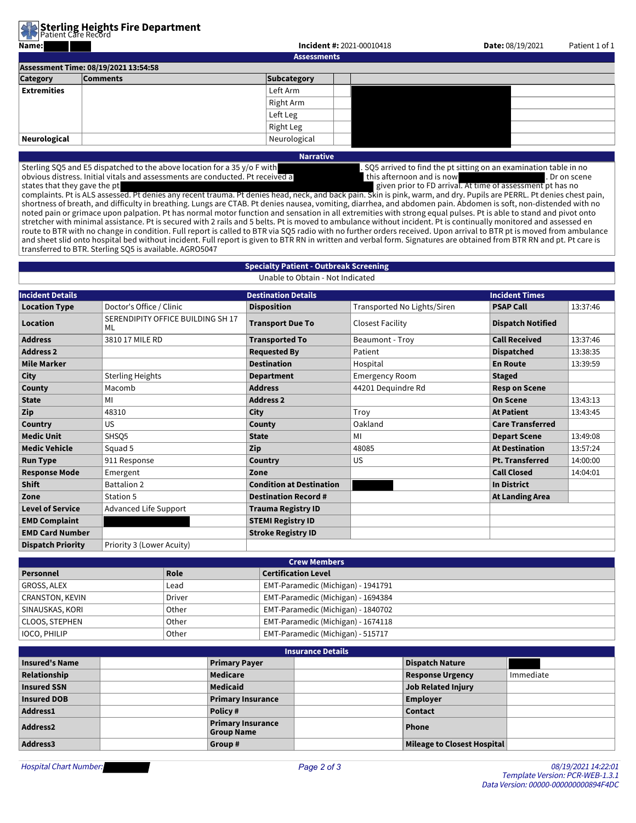**Sterling Heights Fire Department**<br>Patient Care Record

| Name:              |                                      | <b>Incident #: 2021-00010418</b> | <b>Date: 08/19/2021</b> | Patient 1 of 1 |  |  |
|--------------------|--------------------------------------|----------------------------------|-------------------------|----------------|--|--|
|                    |                                      | <b>Assessments</b>               |                         |                |  |  |
|                    | Assessment Time: 08/19/2021 13:54:58 |                                  |                         |                |  |  |
| <b>Category</b>    | <b>Comments</b>                      | <b>Subcategory</b>               |                         |                |  |  |
| <b>Extremities</b> |                                      | Left Arm                         |                         |                |  |  |
|                    |                                      | Right Arm                        |                         |                |  |  |
|                    |                                      | Left Leg                         |                         |                |  |  |
|                    |                                      | Right Leg                        |                         |                |  |  |
| Neurological       |                                      | Neurological                     |                         |                |  |  |
|                    |                                      | <b>Service Contract Contract</b> |                         |                |  |  |

**Narrative**

Sterling SQ5 and E5 dispatched to the above location for a 35 y/o F with . SQ5 arrived to find the pt sitting on an examination table in no<br>bvious distress. Initial vitals and assessments are conducted. Pt received a this obvious distress. Initial vitals and assessments are conducted. Pt received a this afternoon and is now . Dr on scene states that they gave the pt given prior to FD arrival. At time of assessment pt has no

complaints. Pt is ALS assessed. Pt denies any recent trauma. Pt denies head, neck, and back pain. Skin is pink, warm, and dry. Pupils are PERRL. Pt denies chest pain, shortness of breath, and difficulty in breathing. Lungs are CTAB. Pt denies nausea, vomiting, diarrhea, and abdomen pain. Abdomen is soft, non-distended with no noted pain or grimace upon palpation. Pt has normal motor function and sensation in all extremities with strong equal pulses. Pt is able to stand and pivot onto stretcher with minimal assistance. Pt is secured with 2 rails and 5 belts. Pt is moved to ambulance without incident. Pt is continually monitored and assessed en route to BTR with no change in condition. Full report is called to BTR via SQ5 radio with no further orders received. Upon arrival to BTR pt is moved from ambulance and sheet slid onto hospital bed without incident. Full report is given to BTR RN in written and verbal form. Signatures are obtained from BTR RN and pt. Pt care is transferred to BTR. Sterling SQ5 is available. AGRO5047

## **Specialty Patient - Outbreak Screening**

Unable to Obtain - Not Indicated

| <b>Incident Details</b>  |                                         | <b>Destination Details</b>      |                             | <b>Incident Times</b>    |          |
|--------------------------|-----------------------------------------|---------------------------------|-----------------------------|--------------------------|----------|
|                          |                                         |                                 |                             |                          |          |
| <b>Location Type</b>     | Doctor's Office / Clinic                | <b>Disposition</b>              | Transported No Lights/Siren | <b>PSAP Call</b>         | 13:37:46 |
| Location                 | SERENDIPITY OFFICE BUILDING SH 17<br>ML | <b>Transport Due To</b>         | Closest Facility            | <b>Dispatch Notified</b> |          |
| <b>Address</b>           | 3810 17 MILE RD                         | <b>Transported To</b>           | Beaumont - Troy             | <b>Call Received</b>     | 13:37:46 |
| <b>Address 2</b>         |                                         | <b>Requested By</b>             | Patient                     | <b>Dispatched</b>        | 13:38:35 |
| <b>Mile Marker</b>       |                                         | <b>Destination</b>              | Hospital                    | <b>En Route</b>          | 13:39:59 |
| <b>City</b>              | <b>Sterling Heights</b>                 | <b>Department</b>               | <b>Emergency Room</b>       | <b>Staged</b>            |          |
| County                   | Macomb                                  | <b>Address</b>                  | 44201 Dequindre Rd          | <b>Resp on Scene</b>     |          |
| <b>State</b>             | MI                                      | <b>Address 2</b>                |                             | <b>On Scene</b>          | 13:43:13 |
| Zip                      | 48310                                   | <b>City</b>                     | Troy                        | <b>At Patient</b>        | 13:43:45 |
| Country                  | <b>US</b>                               | County                          | Oakland                     | <b>Care Transferred</b>  |          |
| <b>Medic Unit</b>        | SHSO <sub>5</sub>                       | <b>State</b>                    | MI                          | <b>Depart Scene</b>      | 13:49:08 |
| <b>Medic Vehicle</b>     | Squad 5                                 | Zip                             | 48085                       | <b>At Destination</b>    | 13:57:24 |
| <b>Run Type</b>          | 911 Response                            | Country                         | <b>US</b>                   | <b>Pt. Transferred</b>   | 14:00:00 |
| <b>Response Mode</b>     | Emergent                                | Zone                            |                             | <b>Call Closed</b>       | 14:04:01 |
| <b>Shift</b>             | <b>Battalion 2</b>                      | <b>Condition at Destination</b> |                             | <b>In District</b>       |          |
| Zone                     | Station 5                               | <b>Destination Record #</b>     |                             | <b>At Landing Area</b>   |          |
| <b>Level of Service</b>  | Advanced Life Support                   | <b>Trauma Registry ID</b>       |                             |                          |          |
| <b>EMD Complaint</b>     |                                         | <b>STEMI Registry ID</b>        |                             |                          |          |
| <b>EMD Card Number</b>   |                                         | <b>Stroke Registry ID</b>       |                             |                          |          |
| <b>Dispatch Priority</b> | Priority 3 (Lower Acuity)               |                                 |                             |                          |          |

| <b>Crew Members</b> |        |                                    |  |  |  |
|---------------------|--------|------------------------------------|--|--|--|
| Personnel           | Role   | <b>Certification Level</b>         |  |  |  |
| GROSS, ALEX         | Lead   | EMT-Paramedic (Michigan) - 1941791 |  |  |  |
| CRANSTON, KEVIN     | Driver | EMT-Paramedic (Michigan) - 1694384 |  |  |  |
| SINAUSKAS, KORI     | Other  | EMT-Paramedic (Michigan) - 1840702 |  |  |  |
| CLOOS, STEPHEN      | Other  | EMT-Paramedic (Michigan) - 1674118 |  |  |  |
| <b>IOCO, PHILIP</b> | Other  | EMT-Paramedic (Michigan) - 515717  |  |  |  |

| <b>Insurance Details</b> |                                        |  |                             |           |  |  |  |
|--------------------------|----------------------------------------|--|-----------------------------|-----------|--|--|--|
| <b>Insured's Name</b>    | <b>Primary Payer</b>                   |  | <b>Dispatch Nature</b>      |           |  |  |  |
| Relationship             | Medicare                               |  | <b>Response Urgency</b>     | Immediate |  |  |  |
| <b>Insured SSN</b>       | Medicaid                               |  | <b>Job Related Injury</b>   |           |  |  |  |
| <b>Insured DOB</b>       | <b>Primary Insurance</b>               |  | <b>Employer</b>             |           |  |  |  |
| Address1                 | Policy#                                |  | <b>Contact</b>              |           |  |  |  |
| <b>Address2</b>          | <b>Primary Insurance</b><br>Group Name |  | Phone                       |           |  |  |  |
| Address3                 | Group#                                 |  | Mileage to Closest Hospital |           |  |  |  |